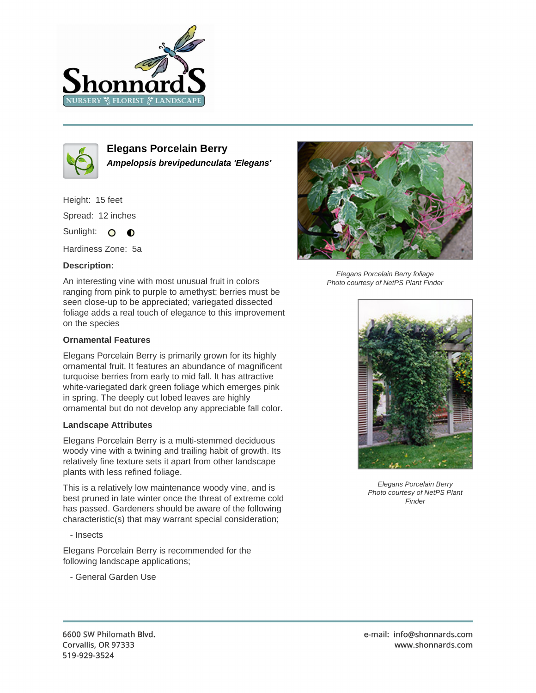



**Elegans Porcelain Berry Ampelopsis brevipedunculata 'Elegans'**

Height: 15 feet Spread: 12 inches Sunlight: O **O** 

Hardiness Zone: 5a

## **Description:**

An interesting vine with most unusual fruit in colors ranging from pink to purple to amethyst; berries must be seen close-up to be appreciated; variegated dissected foliage adds a real touch of elegance to this improvement on the species

## **Ornamental Features**

Elegans Porcelain Berry is primarily grown for its highly ornamental fruit. It features an abundance of magnificent turquoise berries from early to mid fall. It has attractive white-variegated dark green foliage which emerges pink in spring. The deeply cut lobed leaves are highly ornamental but do not develop any appreciable fall color.

## **Landscape Attributes**

Elegans Porcelain Berry is a multi-stemmed deciduous woody vine with a twining and trailing habit of growth. Its relatively fine texture sets it apart from other landscape plants with less refined foliage.

This is a relatively low maintenance woody vine, and is best pruned in late winter once the threat of extreme cold has passed. Gardeners should be aware of the following characteristic(s) that may warrant special consideration;

- Insects

Elegans Porcelain Berry is recommended for the following landscape applications;

- General Garden Use



Elegans Porcelain Berry foliage Photo courtesy of NetPS Plant Finder



Elegans Porcelain Berry Photo courtesy of NetPS Plant Finder